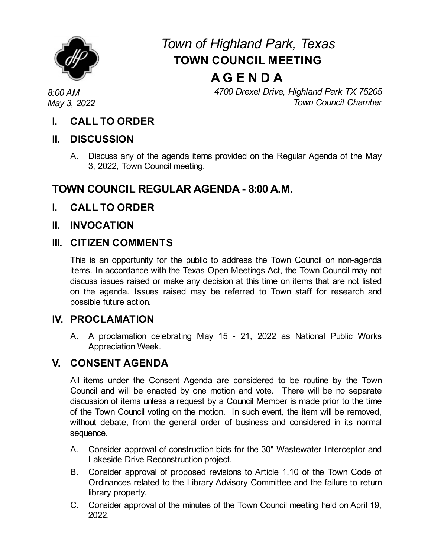

# *Town of Highland Park, Texas* **TOWN COUNCIL MEETING**

# **A G E N D A**

*8:00 AM May 3, 2022* *4700 Drexel Drive, Highland Park TX 75205 Town Council Chamber*

### **I. CALL TO ORDER**

#### **II. DISCUSSION**

A. Discuss any of the agenda items provided on the Regular Agenda of the May 3, 2022, Town Council meeting.

# **TOWN COUNCIL REGULAR AGENDA - 8:00 A.M.**

**I. CALL TO ORDER**

#### **II. INVOCATION**

#### **III. CITIZEN COMMENTS**

This is an opportunity for the public to address the Town Council on non-agenda items. In accordance with the Texas Open Meetings Act, the Town Council may not discuss issues raised or make any decision at this time on items that are not listed on the agenda. Issues raised may be referred to Town staff for research and possible future action.

#### **IV. PROCLAMATION**

A. A [proclamation](file:///C:/Windows/TEMP/CoverSheet.aspx?ItemID=4613&MeetingID=747) celebrating May 15 - 21, 2022 as National Public Works Appreciation Week.

## **V. CONSENT AGENDA**

All items under the Consent Agenda are considered to be routine by the Town Council and will be enacted by one motion and vote. There will be no separate discussion of items unless a request by a Council Member is made prior to the time of the Town Council voting on the motion. In such event, the item will be removed, without debate, from the general order of business and considered in its normal sequence.

- A. Consider approval of construction bids for the 30" Wastewater Interceptor and Lakeside Drive [Reconstruction](file:///C:/Windows/TEMP/CoverSheet.aspx?ItemID=4635&MeetingID=747) project.
- B. Consider approval of proposed revisions to Article 1.10 of the Town Code of [Ordinances](file:///C:/Windows/TEMP/CoverSheet.aspx?ItemID=4641&MeetingID=747) related to the Library Advisory Committee and the failure to return library property.
- C. [Consider](file:///C:/Windows/TEMP/CoverSheet.aspx?ItemID=4638&MeetingID=747) approval of the minutes of the Town Council meeting held on April 19, 2022.